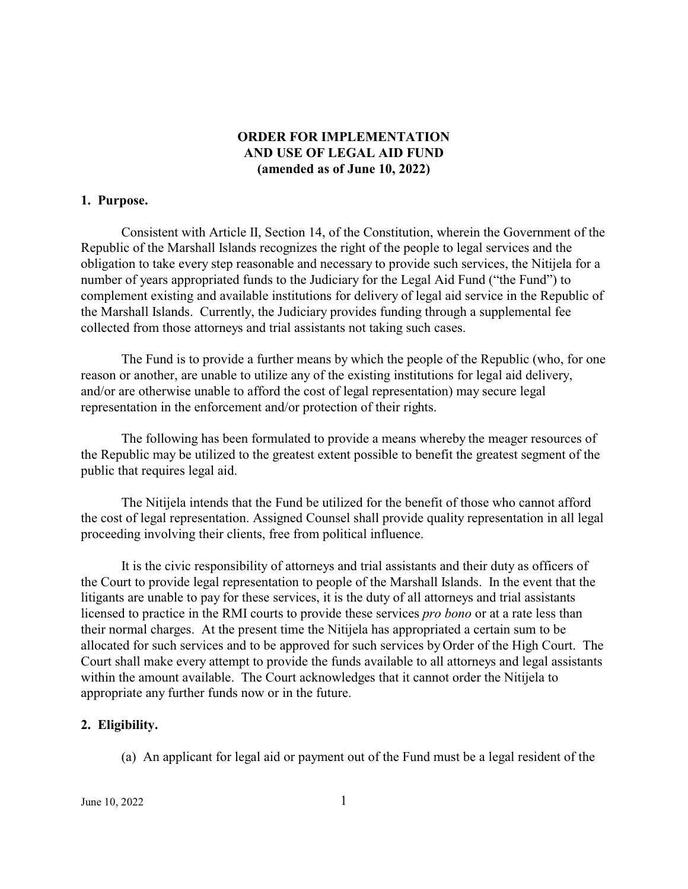# **ORDER FOR IMPLEMENTATION AND USE OF LEGAL AID FUND (amended as of June 10, 2022)**

### **1. Purpose.**

Consistent with Article II, Section 14, of the Constitution, wherein the Government of the Republic of the Marshall Islands recognizes the right of the people to legal services and the obligation to take every step reasonable and necessary to provide such services, the Nitijela for a number of years appropriated funds to the Judiciary for the Legal Aid Fund ("the Fund") to complement existing and available institutions for delivery of legal aid service in the Republic of the Marshall Islands. Currently, the Judiciary provides funding through a supplemental fee collected from those attorneys and trial assistants not taking such cases.

The Fund is to provide a further means by which the people of the Republic (who, for one reason or another, are unable to utilize any of the existing institutions for legal aid delivery, and/or are otherwise unable to afford the cost of legal representation) may secure legal representation in the enforcement and/or protection of their rights.

The following has been formulated to provide a means whereby the meager resources of the Republic may be utilized to the greatest extent possible to benefit the greatest segment of the public that requires legal aid.

The Nitijela intends that the Fund be utilized for the benefit of those who cannot afford the cost of legal representation. Assigned Counsel shall provide quality representation in all legal proceeding involving their clients, free from political influence.

It is the civic responsibility of attorneys and trial assistants and their duty as officers of the Court to provide legal representation to people of the Marshall Islands. In the event that the litigants are unable to pay for these services, it is the duty of all attorneys and trial assistants licensed to practice in the RMI courts to provide these services *pro bono* or at a rate less than their normal charges. At the present time the Nitijela has appropriated a certain sum to be allocated for such services and to be approved for such services by Order of the High Court. The Court shall make every attempt to provide the funds available to all attorneys and legal assistants within the amount available. The Court acknowledges that it cannot order the Nitijela to appropriate any further funds now or in the future.

## **2. Eligibility.**

(a) An applicant for legal aid or payment out of the Fund must be a legal resident of the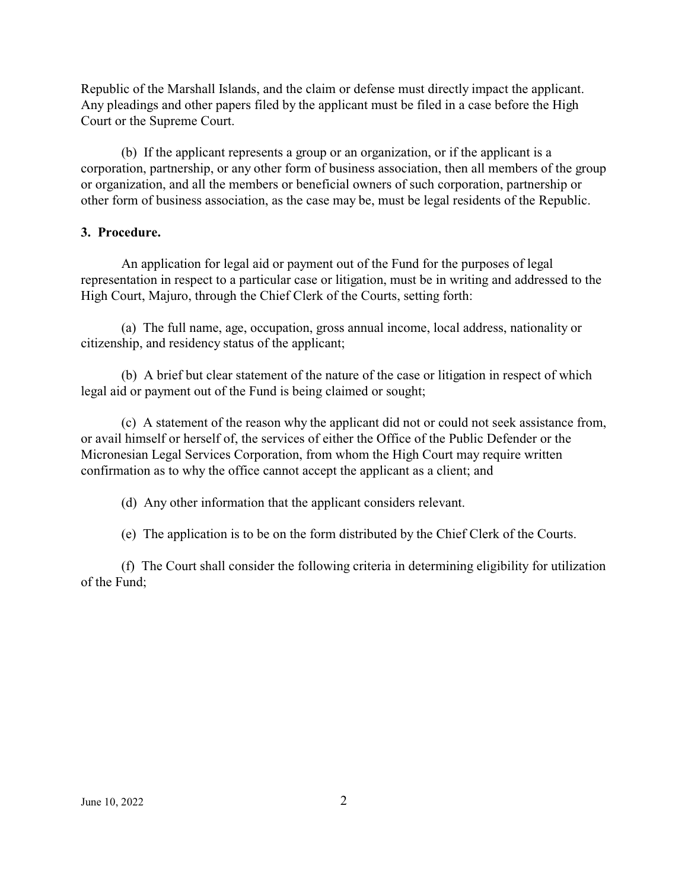Republic of the Marshall Islands, and the claim or defense must directly impact the applicant. Any pleadings and other papers filed by the applicant must be filed in a case before the High Court or the Supreme Court.

(b) If the applicant represents a group or an organization, or if the applicant is a corporation, partnership, or any other form of business association, then all members of the group or organization, and all the members or beneficial owners of such corporation, partnership or other form of business association, as the case may be, must be legal residents of the Republic.

### **3. Procedure.**

An application for legal aid or payment out of the Fund for the purposes of legal representation in respect to a particular case or litigation, must be in writing and addressed to the High Court, Majuro, through the Chief Clerk of the Courts, setting forth:

(a) The full name, age, occupation, gross annual income, local address, nationality or citizenship, and residency status of the applicant;

(b) A brief but clear statement of the nature of the case or litigation in respect of which legal aid or payment out of the Fund is being claimed or sought;

(c) A statement of the reason why the applicant did not or could not seek assistance from, or avail himself or herself of, the services of either the Office of the Public Defender or the Micronesian Legal Services Corporation, from whom the High Court may require written confirmation as to why the office cannot accept the applicant as a client; and

(d) Any other information that the applicant considers relevant.

(e) The application is to be on the form distributed by the Chief Clerk of the Courts.

(f) The Court shall consider the following criteria in determining eligibility for utilization of the Fund;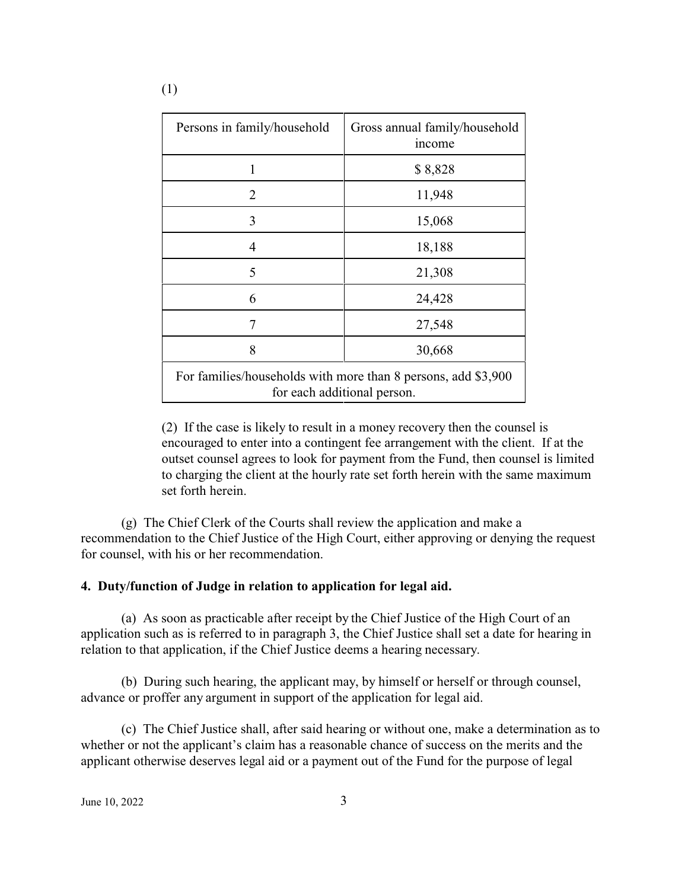| Persons in family/household                                                                  | Gross annual family/household<br>income |
|----------------------------------------------------------------------------------------------|-----------------------------------------|
| 1                                                                                            | \$8,828                                 |
| 2                                                                                            | 11,948                                  |
| 3                                                                                            | 15,068                                  |
| 4                                                                                            | 18,188                                  |
| 5                                                                                            | 21,308                                  |
| 6                                                                                            | 24,428                                  |
| 7                                                                                            | 27,548                                  |
| 8                                                                                            | 30,668                                  |
| For families/households with more than 8 persons, add \$3,900<br>for each additional person. |                                         |

(2) If the case is likely to result in a money recovery then the counsel is encouraged to enter into a contingent fee arrangement with the client. If at the outset counsel agrees to look for payment from the Fund, then counsel is limited to charging the client at the hourly rate set forth herein with the same maximum set forth herein.

(g) The Chief Clerk of the Courts shall review the application and make a recommendation to the Chief Justice of the High Court, either approving or denying the request for counsel, with his or her recommendation.

## **4. Duty/function of Judge in relation to application for legal aid.**

(a) As soon as practicable after receipt by the Chief Justice of the High Court of an application such as is referred to in paragraph 3, the Chief Justice shall set a date for hearing in relation to that application, if the Chief Justice deems a hearing necessary.

(b) During such hearing, the applicant may, by himself or herself or through counsel, advance or proffer any argument in support of the application for legal aid.

(c) The Chief Justice shall, after said hearing or without one, make a determination as to whether or not the applicant's claim has a reasonable chance of success on the merits and the applicant otherwise deserves legal aid or a payment out of the Fund for the purpose of legal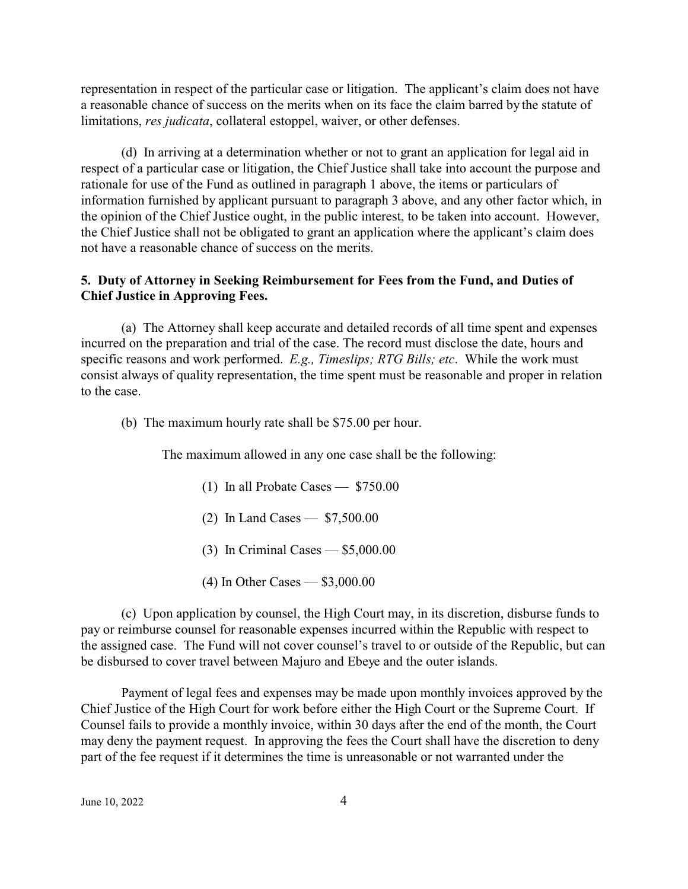representation in respect of the particular case or litigation. The applicant's claim does not have a reasonable chance of success on the merits when on its face the claim barred by the statute of limitations, *res judicata*, collateral estoppel, waiver, or other defenses.

(d) In arriving at a determination whether or not to grant an application for legal aid in respect of a particular case or litigation, the Chief Justice shall take into account the purpose and rationale for use of the Fund as outlined in paragraph 1 above, the items or particulars of information furnished by applicant pursuant to paragraph 3 above, and any other factor which, in the opinion of the Chief Justice ought, in the public interest, to be taken into account. However, the Chief Justice shall not be obligated to grant an application where the applicant's claim does not have a reasonable chance of success on the merits.

## **5. Duty of Attorney in Seeking Reimbursement for Fees from the Fund, and Duties of Chief Justice in Approving Fees.**

(a) The Attorney shall keep accurate and detailed records of all time spent and expenses incurred on the preparation and trial of the case. The record must disclose the date, hours and specific reasons and work performed. *E.g., Timeslips; RTG Bills; etc*. While the work must consist always of quality representation, the time spent must be reasonable and proper in relation to the case.

(b) The maximum hourly rate shall be \$75.00 per hour.

The maximum allowed in any one case shall be the following:

- (1) In all Probate Cases \$750.00
- (2) In Land Cases \$7,500.00
- (3) In Criminal Cases \$5,000.00
- (4) In Other Cases \$3,000.00

(c) Upon application by counsel, the High Court may, in its discretion, disburse funds to pay or reimburse counsel for reasonable expenses incurred within the Republic with respect to the assigned case. The Fund will not cover counsel's travel to or outside of the Republic, but can be disbursed to cover travel between Majuro and Ebeye and the outer islands.

Payment of legal fees and expenses may be made upon monthly invoices approved by the Chief Justice of the High Court for work before either the High Court or the Supreme Court. If Counsel fails to provide a monthly invoice, within 30 days after the end of the month, the Court may deny the payment request. In approving the fees the Court shall have the discretion to deny part of the fee request if it determines the time is unreasonable or not warranted under the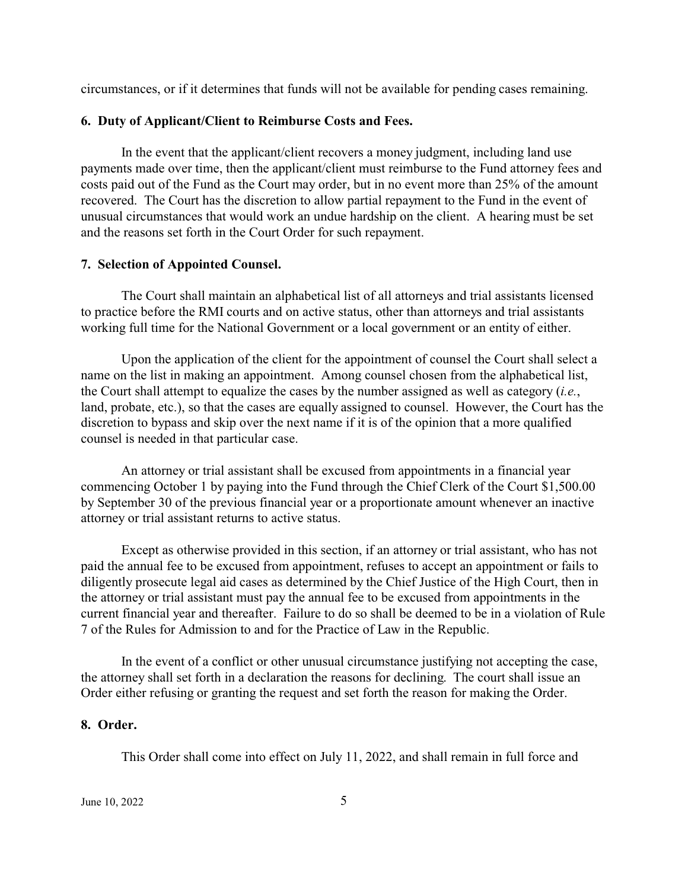circumstances, or if it determines that funds will not be available for pending cases remaining.

#### **6. Duty of Applicant/Client to Reimburse Costs and Fees.**

In the event that the applicant/client recovers a money judgment, including land use payments made over time, then the applicant/client must reimburse to the Fund attorney fees and costs paid out of the Fund as the Court may order, but in no event more than 25% of the amount recovered. The Court has the discretion to allow partial repayment to the Fund in the event of unusual circumstances that would work an undue hardship on the client. A hearing must be set and the reasons set forth in the Court Order for such repayment.

#### **7. Selection of Appointed Counsel.**

The Court shall maintain an alphabetical list of all attorneys and trial assistants licensed to practice before the RMI courts and on active status, other than attorneys and trial assistants working full time for the National Government or a local government or an entity of either.

Upon the application of the client for the appointment of counsel the Court shall select a name on the list in making an appointment. Among counsel chosen from the alphabetical list, the Court shall attempt to equalize the cases by the number assigned as well as category (*i.e.*, land, probate, etc.), so that the cases are equally assigned to counsel. However, the Court has the discretion to bypass and skip over the next name if it is of the opinion that a more qualified counsel is needed in that particular case.

An attorney or trial assistant shall be excused from appointments in a financial year commencing October 1 by paying into the Fund through the Chief Clerk of the Court \$1,500.00 by September 30 of the previous financial year or a proportionate amount whenever an inactive attorney or trial assistant returns to active status.

Except as otherwise provided in this section, if an attorney or trial assistant, who has not paid the annual fee to be excused from appointment, refuses to accept an appointment or fails to diligently prosecute legal aid cases as determined by the Chief Justice of the High Court, then in the attorney or trial assistant must pay the annual fee to be excused from appointments in the current financial year and thereafter. Failure to do so shall be deemed to be in a violation of Rule 7 of the Rules for Admission to and for the Practice of Law in the Republic.

In the event of a conflict or other unusual circumstance justifying not accepting the case, the attorney shall set forth in a declaration the reasons for declining. The court shall issue an Order either refusing or granting the request and set forth the reason for making the Order.

#### **8. Order.**

This Order shall come into effect on July 11, 2022, and shall remain in full force and